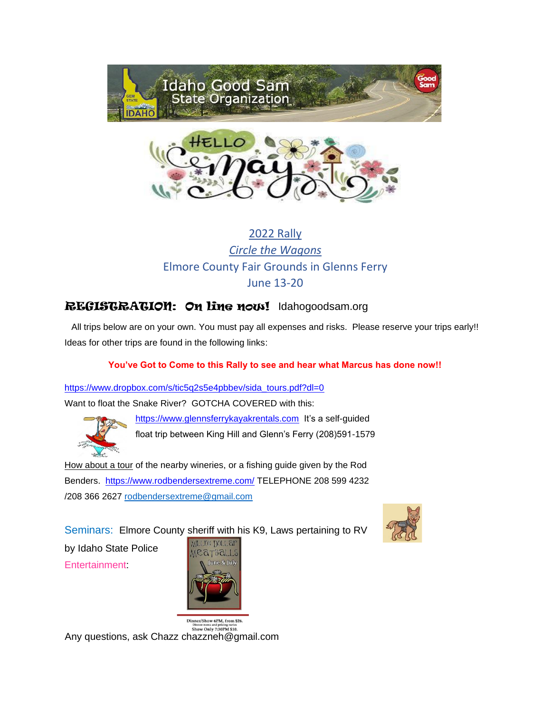



### 2022 Rally *Circle the Wagons* Elmore County Fair Grounds in Glenns Ferry June 13-20

### REGISTRATION: On line now! Idahogoodsam.org

All trips below are on your own. You must pay all expenses and risks. Please reserve your trips early!! Ideas for other trips are found in the following links:

#### **You've Got to Come to this Rally to see and hear what Marcus has done now!!**

[https://www.dropbox.com/s/tic5q2s5e4pbbev/sida\\_tours.pdf?dl=0](https://www.dropbox.com/s/tic5q2s5e4pbbev/sida_tours.pdf?dl=0) Want to float the Snake River? GOTCHA COVERED with this:



[https://www.glennsferrykayakrentals.com](https://www.glennsferrykayakrentals.com/) It's a self-guided float trip between King Hill and Glenn's Ferry (208)591-1579

How about a tour of the nearby wineries, or a fishing guide given by the Rod Benders. <https://www.rodbendersextreme.com/> [T](https://www.rodbendersextreme.com/)ELEPHONE 208 599 4232 /208 366 2627 [rodbendersextreme@gmail.com](mailto:rodbendersextreme@gmail.com)



Seminars: Elmore County sheriff with his K9, Laws pertaining to RV

by Idaho State Police Entertainment:



Dinner/Show 6PM, from \$26 Dinner menu and pricing varies<br>Show Only 7:30PM \$10. Any questions, ask Chazz chazzneh@gmail.com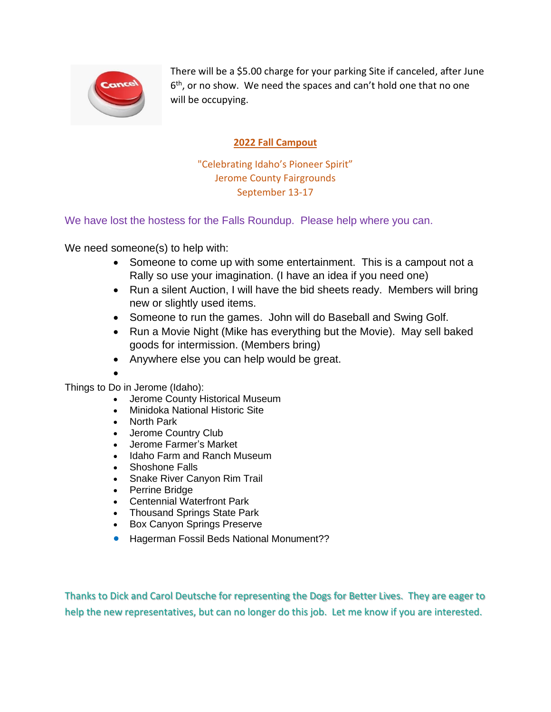

There will be a \$5.00 charge for your parking Site if canceled, after June 6 th, or no show. We need the spaces and can't hold one that no one will be occupying.

#### **2022 Fall Campout**

"Celebrating Idaho's Pioneer Spirit" Jerome County Fairgrounds September 13-17

We have lost the hostess for the Falls Roundup. Please help where you can.

We need someone(s) to help with:

- Someone to come up with some entertainment. This is a campout not a Rally so use your imagination. (I have an idea if you need one)
- Run a silent Auction, I will have the bid sheets ready. Members will bring new or slightly used items.
- Someone to run the games. John will do Baseball and Swing Golf.
- Run a Movie Night (Mike has everything but the Movie). May sell baked goods for intermission. (Members bring)
- Anywhere else you can help would be great.
- •

Things to Do in Jerome (Idaho):

- Jerome County Historical Museum
- Minidoka National Historic Site
- North Park
- Jerome Country Club
- Jerome Farmer's Market
- Idaho Farm and Ranch Museum
- Shoshone Falls
- Snake River Canyon Rim Trail
- Perrine Bridge
- Centennial Waterfront Park
- Thousand Springs State Park
- Box Canyon Springs Preserve
- Hagerman Fossil Beds National Monument??

Thanks to Dick and Carol Deutsche for representing the Dogs for Better Lives. They are eager to help the new representatives, but can no longer do this job. Let me know if you are interested.